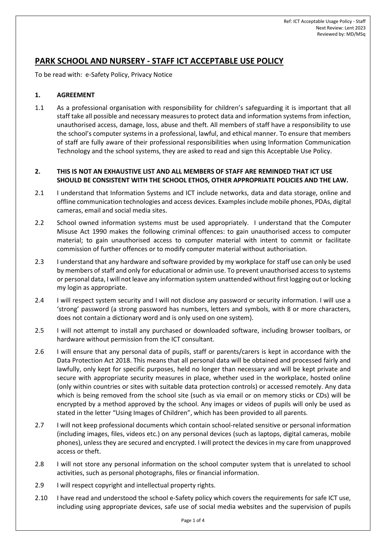# **PARK SCHOOL AND NURSERY - STAFF ICT ACCEPTABLE USE POLICY**

To be read with: e-Safety Policy, Privacy Notice

#### **1. AGREEMENT**

1.1 As a professional organisation with responsibility for children's safeguarding it is important that all staff take all possible and necessary measures to protect data and information systems from infection, unauthorised access, damage, loss, abuse and theft. All members of staff have a responsibility to use the school's computer systems in a professional, lawful, and ethical manner. To ensure that members of staff are fully aware of their professional responsibilities when using Information Communication Technology and the school systems, they are asked to read and sign this Acceptable Use Policy.

#### **2. THIS IS NOT AN EXHAUSTIVE LIST AND ALL MEMBERS OF STAFF ARE REMINDED THAT ICT USE SHOULD BE CONSISTENT WITH THE SCHOOL ETHOS, OTHER APPROPRIATE POLICIES AND THE LAW.**

- 2.1 I understand that Information Systems and ICT include networks, data and data storage, online and offline communication technologies and access devices. Examples include mobile phones, PDAs, digital cameras, email and social media sites.
- 2.2 School owned information systems must be used appropriately. I understand that the Computer Misuse Act 1990 makes the following criminal offences: to gain unauthorised access to computer material; to gain unauthorised access to computer material with intent to commit or facilitate commission of further offences or to modify computer material without authorisation.
- 2.3 I understand that any hardware and software provided by my workplace for staff use can only be used by members of staff and only for educational or admin use. To prevent unauthorised access to systems or personal data, I will not leave any information system unattended without first logging out or locking my login as appropriate.
- 2.4 I will respect system security and I will not disclose any password or security information. I will use a 'strong' password (a strong password has numbers, letters and symbols, with 8 or more characters, does not contain a dictionary word and is only used on one system).
- 2.5 I will not attempt to install any purchased or downloaded software, including browser toolbars, or hardware without permission from the ICT consultant.
- 2.6 I will ensure that any personal data of pupils, staff or parents/carers is kept in accordance with the Data Protection Act 2018. This means that all personal data will be obtained and processed fairly and lawfully, only kept for specific purposes, held no longer than necessary and will be kept private and secure with appropriate security measures in place, whether used in the workplace, hosted online (only within countries or sites with suitable data protection controls) or accessed remotely. Any data which is being removed from the school site (such as via email or on memory sticks or CDs) will be encrypted by a method approved by the school. Any images or videos of pupils will only be used as stated in the letter "Using Images of Children", which has been provided to all parents.
- 2.7 I will not keep professional documents which contain school-related sensitive or personal information (including images, files, videos etc.) on any personal devices (such as laptops, digital cameras, mobile phones), unless they are secured and encrypted. I will protect the devices in my care from unapproved access or theft.
- 2.8 I will not store any personal information on the school computer system that is unrelated to school activities, such as personal photographs, files or financial information.
- 2.9 I will respect copyright and intellectual property rights.
- 2.10 I have read and understood the school e-Safety policy which covers the requirements for safe ICT use, including using appropriate devices, safe use of social media websites and the supervision of pupils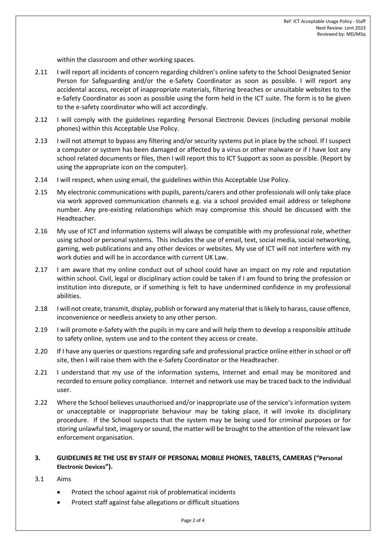within the classroom and other working spaces.

- 2.11 I will report all incidents of concern regarding children's online safety to the School Designated Senior Person for Safeguarding and/or the e-Safety Coordinator as soon as possible. I will report any accidental access, receipt of inappropriate materials, filtering breaches or unsuitable websites to the e-Safety Coordinator as soon as possible using the form held in the ICT suite. The form is to be given to the e-safety coordinator who will act accordingly.
- 2.12 I will comply with the guidelines regarding Personal Electronic Devices (including personal mobile phones) within this Acceptable Use Policy.
- 2.13 I will not attempt to bypass any filtering and/or security systems put in place by the school. If I suspect a computer or system has been damaged or affected by a virus or other malware or if I have lost any school related documents or files, then I will report this to ICT Support as soon as possible. (Report by using the appropriate icon on the computer).
- 2.14 I will respect, when using email, the guidelines within this Acceptable Use Policy.
- 2.15 My electronic communications with pupils, parents/carers and other professionals will only take place via work approved communication channels e.g. via a school provided email address or telephone number. Any pre-existing relationships which may compromise this should be discussed with the Headteacher.
- 2.16 My use of ICT and information systems will always be compatible with my professional role, whether using school or personal systems. This includes the use of email, text, social media, social networking, gaming, web publications and any other devices or websites. My use of ICT will not interfere with my work duties and will be in accordance with current UK Law.
- 2.17 I am aware that my online conduct out of school could have an impact on my role and reputation within school. Civil, legal or disciplinary action could be taken if I am found to bring the profession or institution into disrepute, or if something is felt to have undermined confidence in my professional abilities.
- 2.18 I will not create, transmit, display, publish or forward any material that is likely to harass, cause offence, inconvenience or needless anxiety to any other person.
- 2.19 I will promote e-Safety with the pupils in my care and will help them to develop a responsible attitude to safety online, system use and to the content they access or create.
- 2.20 If I have any queries or questions regarding safe and professional practice online either in school or off site, then I will raise them with the e-Safety Coordinator or the Headteacher.
- 2.21 I understand that my use of the information systems, Internet and email may be monitored and recorded to ensure policy compliance. Internet and network use may be traced back to the individual user.
- 2.22 Where the School believes unauthorised and/or inappropriate use of the service's information system or unacceptable or inappropriate behaviour may be taking place, it will invoke its disciplinary procedure. If the School suspects that the system may be being used for criminal purposes or for storing unlawful text, imagery or sound, the matter will be brought to the attention of the relevant law enforcement organisation.
- **3. GUIDELINES RE THE USE BY STAFF OF PERSONAL MOBILE PHONES, TABLETS, CAMERAS ("Personal Electronic Devices").**
- 3.1 Aims
	- Protect the school against risk of problematical incidents
	- Protect staff against false allegations or difficult situations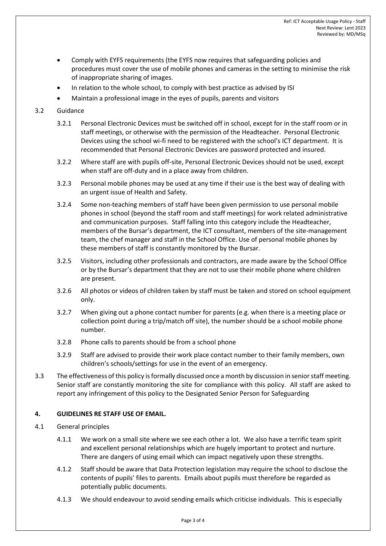- Comply with EYFS requirements (the EYFS now requires that safeguarding policies and procedures must cover the use of mobile phones and cameras in the setting to minimise the risk of inappropriate sharing of images.
- In relation to the whole school, to comply with best practice as advised by ISI
- Maintain a professional image in the eyes of pupils, parents and visitors

## 3.2 Guidance

- 3.2.1 Personal Electronic Devices must be switched off in school, except for in the staff room or in staff meetings, or otherwise with the permission of the Headteacher. Personal Electronic Devices using the school wi-fi need to be registered with the school's ICT department. It is recommended that Personal Electronic Devices are password protected and insured.
- 3.2.2 Where staff are with pupils off-site, Personal Electronic Devices should not be used, except when staff are off-duty and in a place away from children.
- 3.2.3 Personal mobile phones may be used at any time if their use is the best way of dealing with an urgent issue of Health and Safety.
- 3.2.4 Some non-teaching members of staff have been given permission to use personal mobile phones in school (beyond the staff room and staff meetings) for work related administrative and communication purposes. Staff falling into this category include the Headteacher, members of the Bursar's department, the ICT consultant, members of the site-management team, the chef manager and staff in the School Office. Use of personal mobile phones by these members of staff is constantly monitored by the Bursar.
- 3.2.5 Visitors, including other professionals and contractors, are made aware by the School Office or by the Bursar's department that they are not to use their mobile phone where children are present.
- 3.2.6 All photos or videos of children taken by staff must be taken and stored on school equipment only.
- 3.2.7 When giving out a phone contact number for parents (e.g. when there is a meeting place or collection point during a trip/match off site), the number should be a school mobile phone number.
- 3.2.8 Phone calls to parents should be from a school phone
- 3.2.9 Staff are advised to provide their work place contact number to their family members, own children's schools/settings for use in the event of an emergency.
- 3.3 The effectiveness of this policy is formally discussed once a month by discussion in senior staff meeting. Senior staff are constantly monitoring the site for compliance with this policy. All staff are asked to report any infringement of this policy to the Designated Senior Person for Safeguarding

### **4. GUIDELINES RE STAFF USE OF EMAIL.**

- 4.1 General principles
	- 4.1.1 We work on a small site where we see each other a lot. We also have a terrific team spirit and excellent personal relationships which are hugely important to protect and nurture. There are dangers of using email which can impact negatively upon these strengths.
	- 4.1.2 Staff should be aware that Data Protection legislation may require the school to disclose the contents of pupils' files to parents. Emails about pupils must therefore be regarded as potentially public documents.
	- 4.1.3 We should endeavour to avoid sending emails which criticise individuals. This is especially